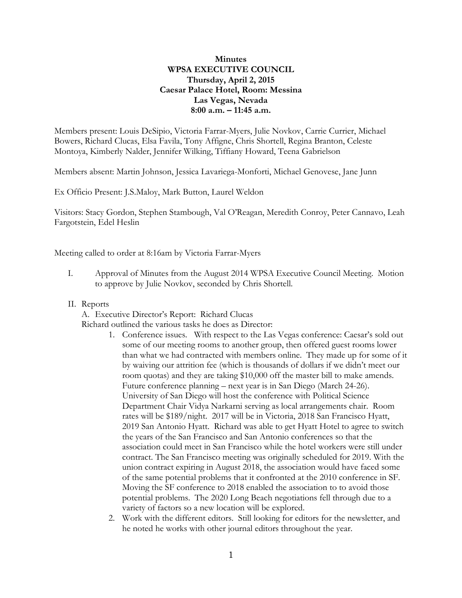# **Minutes WPSA EXECUTIVE COUNCIL Thursday, April 2, 2015 Caesar Palace Hotel, Room: Messina Las Vegas, Nevada 8:00 a.m. – 11:45 a.m.**

Members present: Louis DeSipio, Victoria Farrar-Myers, Julie Novkov, Carrie Currier, Michael Bowers, Richard Clucas, Elsa Favila, Tony Affigne, Chris Shortell, Regina Branton, Celeste Montoya, Kimberly Nalder, Jennifer Wilking, Tiffiany Howard, Teena Gabrielson

Members absent: Martin Johnson, Jessica Lavariega-Monforti, Michael Genovese, Jane Junn

Ex Officio Present: J.S.Maloy, Mark Button, Laurel Weldon

Visitors: Stacy Gordon, Stephen Stambough, Val O'Reagan, Meredith Conroy, Peter Cannavo, Leah Fargotstein, Edel Heslin

Meeting called to order at 8:16am by Victoria Farrar-Myers

- I. Approval of Minutes from the August 2014 WPSA Executive Council Meeting. Motion to approve by Julie Novkov, seconded by Chris Shortell.
- II. Reports

A. Executive Director's Report: Richard Clucas

Richard outlined the various tasks he does as Director:

- 1. Conference issues. With respect to the Las Vegas conference: Caesar's sold out some of our meeting rooms to another group, then offered guest rooms lower than what we had contracted with members online. They made up for some of it by waiving our attrition fee (which is thousands of dollars if we didn't meet our room quotas) and they are taking \$10,000 off the master bill to make amends. Future conference planning – next year is in San Diego (March 24-26). University of San Diego will host the conference with Political Science Department Chair Vidya Narkarni serving as local arrangements chair. Room rates will be \$189/night. 2017 will be in Victoria, 2018 San Francisco Hyatt, 2019 San Antonio Hyatt. Richard was able to get Hyatt Hotel to agree to switch the years of the San Francisco and San Antonio conferences so that the association could meet in San Francisco while the hotel workers were still under contract. The San Francisco meeting was originally scheduled for 2019. With the union contract expiring in August 2018, the association would have faced some of the same potential problems that it confronted at the 2010 conference in SF. Moving the SF conference to 2018 enabled the association to to avoid those potential problems. The 2020 Long Beach negotiations fell through due to a variety of factors so a new location will be explored.
- 2. Work with the different editors. Still looking for editors for the newsletter, and he noted he works with other journal editors throughout the year.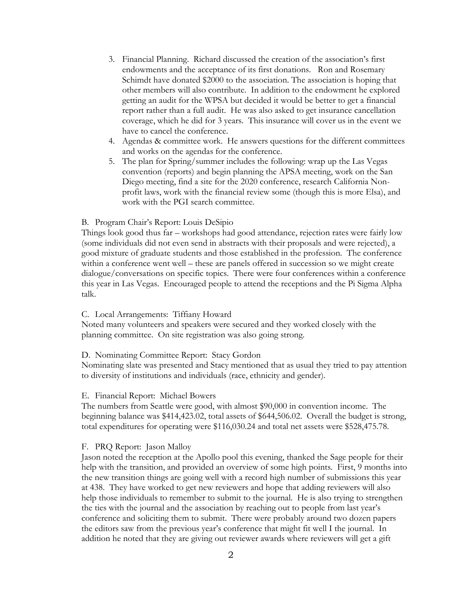- 3. Financial Planning. Richard discussed the creation of the association's first endowments and the acceptance of its first donations. Ron and Rosemary Schimdt have donated \$2000 to the association. The association is hoping that other members will also contribute. In addition to the endowment he explored getting an audit for the WPSA but decided it would be better to get a financial report rather than a full audit. He was also asked to get insurance cancellation coverage, which he did for 3 years. This insurance will cover us in the event we have to cancel the conference.
- 4. Agendas & committee work. He answers questions for the different committees and works on the agendas for the conference.
- 5. The plan for Spring/summer includes the following: wrap up the Las Vegas convention (reports) and begin planning the APSA meeting, work on the San Diego meeting, find a site for the 2020 conference, research California Nonprofit laws, work with the financial review some (though this is more Elsa), and work with the PGI search committee.

# B. Program Chair's Report: Louis DeSipio

Things look good thus far – workshops had good attendance, rejection rates were fairly low (some individuals did not even send in abstracts with their proposals and were rejected), a good mixture of graduate students and those established in the profession. The conference within a conference went well – these are panels offered in succession so we might create dialogue/conversations on specific topics. There were four conferences within a conference this year in Las Vegas. Encouraged people to attend the receptions and the Pi Sigma Alpha talk.

# C. Local Arrangements: Tiffiany Howard

Noted many volunteers and speakers were secured and they worked closely with the planning committee. On site registration was also going strong.

# D. Nominating Committee Report: Stacy Gordon

Nominating slate was presented and Stacy mentioned that as usual they tried to pay attention to diversity of institutions and individuals (race, ethnicity and gender).

### E. Financial Report: Michael Bowers

The numbers from Seattle were good, with almost \$90,000 in convention income. The beginning balance was \$414,423.02, total assets of \$644,506.02. Overall the budget is strong, total expenditures for operating were \$116,030.24 and total net assets were \$528,475.78.

### F. PRQ Report: Jason Malloy

Jason noted the reception at the Apollo pool this evening, thanked the Sage people for their help with the transition, and provided an overview of some high points. First, 9 months into the new transition things are going well with a record high number of submissions this year at 438. They have worked to get new reviewers and hope that adding reviewers will also help those individuals to remember to submit to the journal. He is also trying to strengthen the ties with the journal and the association by reaching out to people from last year's conference and soliciting them to submit. There were probably around two dozen papers the editors saw from the previous year's conference that might fit well I the journal. In addition he noted that they are giving out reviewer awards where reviewers will get a gift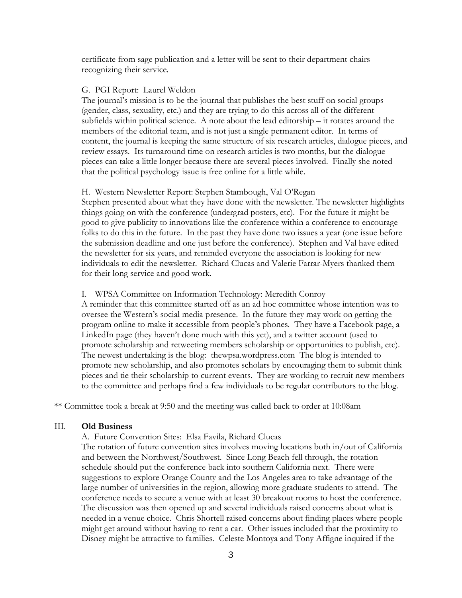certificate from sage publication and a letter will be sent to their department chairs recognizing their service.

## G. PGI Report: Laurel Weldon

The journal's mission is to be the journal that publishes the best stuff on social groups (gender, class, sexuality, etc.) and they are trying to do this across all of the different subfields within political science. A note about the lead editorship – it rotates around the members of the editorial team, and is not just a single permanent editor. In terms of content, the journal is keeping the same structure of six research articles, dialogue pieces, and review essays. Its turnaround time on research articles is two months, but the dialogue pieces can take a little longer because there are several pieces involved. Finally she noted that the political psychology issue is free online for a little while.

### H. Western Newsletter Report: Stephen Stambough, Val O'Regan

Stephen presented about what they have done with the newsletter. The newsletter highlights things going on with the conference (undergrad posters, etc). For the future it might be good to give publicity to innovations like the conference within a conference to encourage folks to do this in the future. In the past they have done two issues a year (one issue before the submission deadline and one just before the conference). Stephen and Val have edited the newsletter for six years, and reminded everyone the association is looking for new individuals to edit the newsletter. Richard Clucas and Valerie Farrar-Myers thanked them for their long service and good work.

## I. WPSA Committee on Information Technology: Meredith Conroy

A reminder that this committee started off as an ad hoc committee whose intention was to oversee the Western's social media presence. In the future they may work on getting the program online to make it accessible from people's phones. They have a Facebook page, a LinkedIn page (they haven't done much with this yet), and a twitter account (used to promote scholarship and retweeting members scholarship or opportunities to publish, etc). The newest undertaking is the blog: thewpsa.wordpress.com The blog is intended to promote new scholarship, and also promotes scholars by encouraging them to submit think pieces and tie their scholarship to current events. They are working to recruit new members to the committee and perhaps find a few individuals to be regular contributors to the blog.

\*\* Committee took a break at 9:50 and the meeting was called back to order at 10:08am

#### III. **Old Business**

A. Future Convention Sites: Elsa Favila, Richard Clucas

The rotation of future convention sites involves moving locations both in/out of California and between the Northwest/Southwest. Since Long Beach fell through, the rotation schedule should put the conference back into southern California next. There were suggestions to explore Orange County and the Los Angeles area to take advantage of the large number of universities in the region, allowing more graduate students to attend. The conference needs to secure a venue with at least 30 breakout rooms to host the conference. The discussion was then opened up and several individuals raised concerns about what is needed in a venue choice. Chris Shortell raised concerns about finding places where people might get around without having to rent a car. Other issues included that the proximity to Disney might be attractive to families. Celeste Montoya and Tony Affigne inquired if the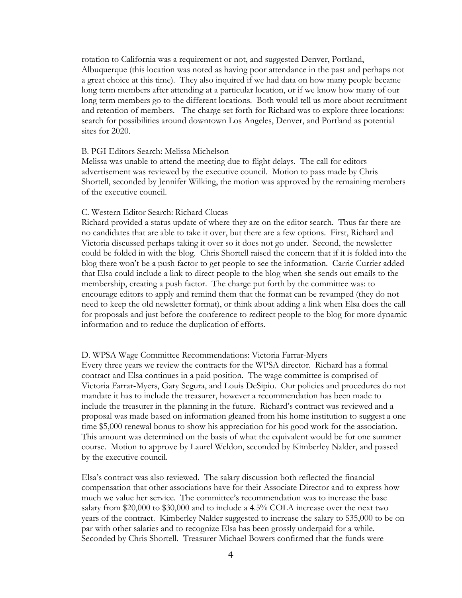rotation to California was a requirement or not, and suggested Denver, Portland, Albuquerque (this location was noted as having poor attendance in the past and perhaps not a great choice at this time). They also inquired if we had data on how many people became long term members after attending at a particular location, or if we know how many of our long term members go to the different locations. Both would tell us more about recruitment and retention of members. The charge set forth for Richard was to explore three locations: search for possibilities around downtown Los Angeles, Denver, and Portland as potential sites for 2020.

### B. PGI Editors Search: Melissa Michelson

Melissa was unable to attend the meeting due to flight delays. The call for editors advertisement was reviewed by the executive council. Motion to pass made by Chris Shortell, seconded by Jennifer Wilking, the motion was approved by the remaining members of the executive council.

# C. Western Editor Search: Richard Clucas

Richard provided a status update of where they are on the editor search. Thus far there are no candidates that are able to take it over, but there are a few options. First, Richard and Victoria discussed perhaps taking it over so it does not go under. Second, the newsletter could be folded in with the blog. Chris Shortell raised the concern that if it is folded into the blog there won't be a push factor to get people to see the information. Carrie Currier added that Elsa could include a link to direct people to the blog when she sends out emails to the membership, creating a push factor. The charge put forth by the committee was: to encourage editors to apply and remind them that the format can be revamped (they do not need to keep the old newsletter format), or think about adding a link when Elsa does the call for proposals and just before the conference to redirect people to the blog for more dynamic information and to reduce the duplication of efforts.

# D. WPSA Wage Committee Recommendations: Victoria Farrar-Myers

Every three years we review the contracts for the WPSA director. Richard has a formal contract and Elsa continues in a paid position. The wage committee is comprised of Victoria Farrar-Myers, Gary Segura, and Louis DeSipio. Our policies and procedures do not mandate it has to include the treasurer, however a recommendation has been made to include the treasurer in the planning in the future. Richard's contract was reviewed and a proposal was made based on information gleaned from his home institution to suggest a one time \$5,000 renewal bonus to show his appreciation for his good work for the association. This amount was determined on the basis of what the equivalent would be for one summer course. Motion to approve by Laurel Weldon, seconded by Kimberley Nalder, and passed by the executive council.

Elsa's contract was also reviewed. The salary discussion both reflected the financial compensation that other associations have for their Associate Director and to express how much we value her service. The committee's recommendation was to increase the base salary from \$20,000 to \$30,000 and to include a 4.5% COLA increase over the next two years of the contract. Kimberley Nalder suggested to increase the salary to \$35,000 to be on par with other salaries and to recognize Elsa has been grossly underpaid for a while. Seconded by Chris Shortell. Treasurer Michael Bowers confirmed that the funds were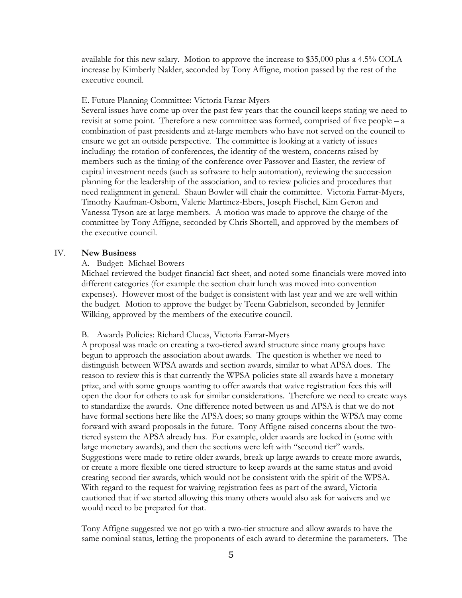available for this new salary. Motion to approve the increase to \$35,000 plus a 4.5% COLA increase by Kimberly Nalder, seconded by Tony Affigne, motion passed by the rest of the executive council.

# E. Future Planning Committee: Victoria Farrar-Myers

Several issues have come up over the past few years that the council keeps stating we need to revisit at some point. Therefore a new committee was formed, comprised of five people – a combination of past presidents and at-large members who have not served on the council to ensure we get an outside perspective. The committee is looking at a variety of issues including: the rotation of conferences, the identity of the western, concerns raised by members such as the timing of the conference over Passover and Easter, the review of capital investment needs (such as software to help automation), reviewing the succession planning for the leadership of the association, and to review policies and procedures that need realignment in general. Shaun Bowler will chair the committee. Victoria Farrar-Myers, Timothy Kaufman-Osborn, Valerie Martinez-Ebers, Joseph Fischel, Kim Geron and Vanessa Tyson are at large members. A motion was made to approve the charge of the committee by Tony Affigne, seconded by Chris Shortell, and approved by the members of the executive council.

### IV. **New Business**

# A. Budget: Michael Bowers

Michael reviewed the budget financial fact sheet, and noted some financials were moved into different categories (for example the section chair lunch was moved into convention expenses). However most of the budget is consistent with last year and we are well within the budget. Motion to approve the budget by Teena Gabrielson, seconded by Jennifer Wilking, approved by the members of the executive council.

### B. Awards Policies: Richard Clucas, Victoria Farrar-Myers

A proposal was made on creating a two-tiered award structure since many groups have begun to approach the association about awards. The question is whether we need to distinguish between WPSA awards and section awards, similar to what APSA does. The reason to review this is that currently the WPSA policies state all awards have a monetary prize, and with some groups wanting to offer awards that waive registration fees this will open the door for others to ask for similar considerations. Therefore we need to create ways to standardize the awards. One difference noted between us and APSA is that we do not have formal sections here like the APSA does; so many groups within the WPSA may come forward with award proposals in the future. Tony Affigne raised concerns about the twotiered system the APSA already has. For example, older awards are locked in (some with large monetary awards), and then the sections were left with "second tier" wards. Suggestions were made to retire older awards, break up large awards to create more awards, or create a more flexible one tiered structure to keep awards at the same status and avoid creating second tier awards, which would not be consistent with the spirit of the WPSA. With regard to the request for waiving registration fees as part of the award, Victoria cautioned that if we started allowing this many others would also ask for waivers and we would need to be prepared for that.

Tony Affigne suggested we not go with a two-tier structure and allow awards to have the same nominal status, letting the proponents of each award to determine the parameters. The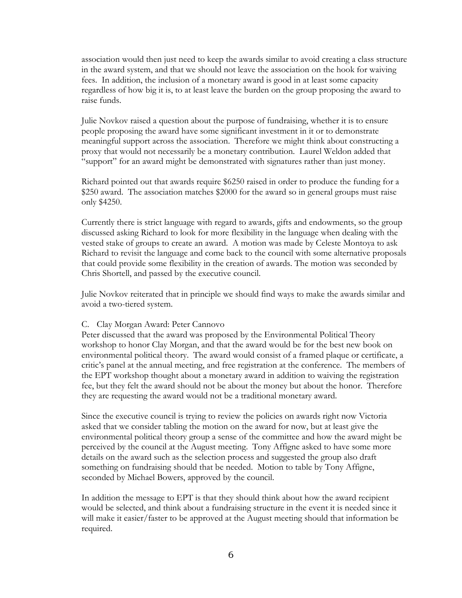association would then just need to keep the awards similar to avoid creating a class structure in the award system, and that we should not leave the association on the hook for waiving fees. In addition, the inclusion of a monetary award is good in at least some capacity regardless of how big it is, to at least leave the burden on the group proposing the award to raise funds.

Julie Novkov raised a question about the purpose of fundraising, whether it is to ensure people proposing the award have some significant investment in it or to demonstrate meaningful support across the association. Therefore we might think about constructing a proxy that would not necessarily be a monetary contribution. Laurel Weldon added that "support" for an award might be demonstrated with signatures rather than just money.

Richard pointed out that awards require \$6250 raised in order to produce the funding for a \$250 award. The association matches \$2000 for the award so in general groups must raise only \$4250.

Currently there is strict language with regard to awards, gifts and endowments, so the group discussed asking Richard to look for more flexibility in the language when dealing with the vested stake of groups to create an award. A motion was made by Celeste Montoya to ask Richard to revisit the language and come back to the council with some alternative proposals that could provide some flexibility in the creation of awards. The motion was seconded by Chris Shortell, and passed by the executive council.

Julie Novkov reiterated that in principle we should find ways to make the awards similar and avoid a two-tiered system.

# C. Clay Morgan Award: Peter Cannovo

Peter discussed that the award was proposed by the Environmental Political Theory workshop to honor Clay Morgan, and that the award would be for the best new book on environmental political theory. The award would consist of a framed plaque or certificate, a critic's panel at the annual meeting, and free registration at the conference. The members of the EPT workshop thought about a monetary award in addition to waiving the registration fee, but they felt the award should not be about the money but about the honor. Therefore they are requesting the award would not be a traditional monetary award.

Since the executive council is trying to review the policies on awards right now Victoria asked that we consider tabling the motion on the award for now, but at least give the environmental political theory group a sense of the committee and how the award might be perceived by the council at the August meeting. Tony Affigne asked to have some more details on the award such as the selection process and suggested the group also draft something on fundraising should that be needed. Motion to table by Tony Affigne, seconded by Michael Bowers, approved by the council.

In addition the message to EPT is that they should think about how the award recipient would be selected, and think about a fundraising structure in the event it is needed since it will make it easier/faster to be approved at the August meeting should that information be required.